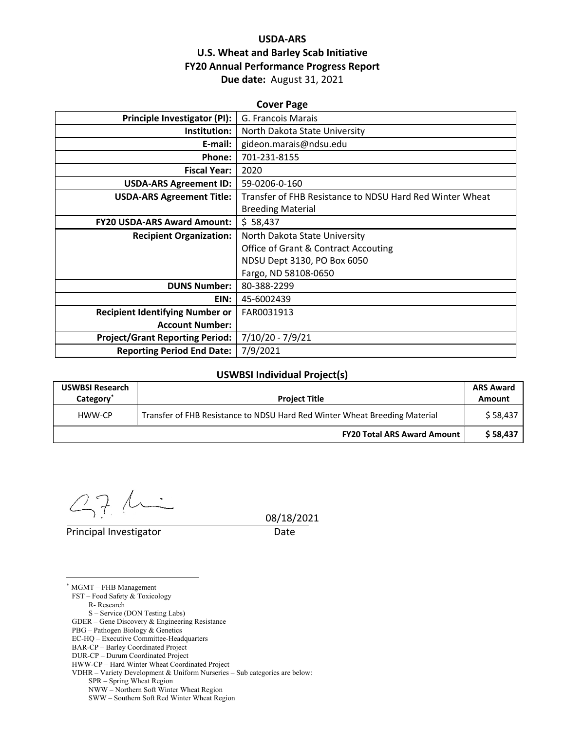## **USDA‐ARS U.S. Wheat and Barley Scab Initiative FY20 Annual Performance Progress Report Due date:** August 31, 2021

| Principle Investigator (PI):<br>G. Francois Marais<br>Institution:<br>North Dakota State University<br>gideon.marais@ndsu.edu<br>E-mail:<br>701-231-8155<br>Phone:<br><b>Fiscal Year:</b><br>2020<br>59-0206-0-160<br><b>USDA-ARS Agreement ID:</b><br>Transfer of FHB Resistance to NDSU Hard Red Winter Wheat<br><b>USDA-ARS Agreement Title:</b><br><b>Breeding Material</b><br>\$58,437<br><b>FY20 USDA-ARS Award Amount:</b><br><b>Recipient Organization:</b><br>North Dakota State University<br><b>Office of Grant &amp; Contract Accouting</b><br>NDSU Dept 3130, PO Box 6050<br>Fargo, ND 58108-0650<br><b>DUNS Number:</b><br>80-388-2299<br>45-6002439<br>EIN:<br><b>Recipient Identifying Number or</b><br>FAR0031913<br><b>Account Number:</b><br>7/10/20 - 7/9/21<br><b>Project/Grant Reporting Period:</b><br>7/9/2021<br><b>Reporting Period End Date:</b> | <b>Cover Page</b> |  |  |  |  |
|-----------------------------------------------------------------------------------------------------------------------------------------------------------------------------------------------------------------------------------------------------------------------------------------------------------------------------------------------------------------------------------------------------------------------------------------------------------------------------------------------------------------------------------------------------------------------------------------------------------------------------------------------------------------------------------------------------------------------------------------------------------------------------------------------------------------------------------------------------------------------------|-------------------|--|--|--|--|
|                                                                                                                                                                                                                                                                                                                                                                                                                                                                                                                                                                                                                                                                                                                                                                                                                                                                             |                   |  |  |  |  |
|                                                                                                                                                                                                                                                                                                                                                                                                                                                                                                                                                                                                                                                                                                                                                                                                                                                                             |                   |  |  |  |  |
|                                                                                                                                                                                                                                                                                                                                                                                                                                                                                                                                                                                                                                                                                                                                                                                                                                                                             |                   |  |  |  |  |
|                                                                                                                                                                                                                                                                                                                                                                                                                                                                                                                                                                                                                                                                                                                                                                                                                                                                             |                   |  |  |  |  |
|                                                                                                                                                                                                                                                                                                                                                                                                                                                                                                                                                                                                                                                                                                                                                                                                                                                                             |                   |  |  |  |  |
|                                                                                                                                                                                                                                                                                                                                                                                                                                                                                                                                                                                                                                                                                                                                                                                                                                                                             |                   |  |  |  |  |
|                                                                                                                                                                                                                                                                                                                                                                                                                                                                                                                                                                                                                                                                                                                                                                                                                                                                             |                   |  |  |  |  |
|                                                                                                                                                                                                                                                                                                                                                                                                                                                                                                                                                                                                                                                                                                                                                                                                                                                                             |                   |  |  |  |  |
|                                                                                                                                                                                                                                                                                                                                                                                                                                                                                                                                                                                                                                                                                                                                                                                                                                                                             |                   |  |  |  |  |
|                                                                                                                                                                                                                                                                                                                                                                                                                                                                                                                                                                                                                                                                                                                                                                                                                                                                             |                   |  |  |  |  |
|                                                                                                                                                                                                                                                                                                                                                                                                                                                                                                                                                                                                                                                                                                                                                                                                                                                                             |                   |  |  |  |  |
|                                                                                                                                                                                                                                                                                                                                                                                                                                                                                                                                                                                                                                                                                                                                                                                                                                                                             |                   |  |  |  |  |
|                                                                                                                                                                                                                                                                                                                                                                                                                                                                                                                                                                                                                                                                                                                                                                                                                                                                             |                   |  |  |  |  |
|                                                                                                                                                                                                                                                                                                                                                                                                                                                                                                                                                                                                                                                                                                                                                                                                                                                                             |                   |  |  |  |  |
|                                                                                                                                                                                                                                                                                                                                                                                                                                                                                                                                                                                                                                                                                                                                                                                                                                                                             |                   |  |  |  |  |
|                                                                                                                                                                                                                                                                                                                                                                                                                                                                                                                                                                                                                                                                                                                                                                                                                                                                             |                   |  |  |  |  |
|                                                                                                                                                                                                                                                                                                                                                                                                                                                                                                                                                                                                                                                                                                                                                                                                                                                                             |                   |  |  |  |  |
|                                                                                                                                                                                                                                                                                                                                                                                                                                                                                                                                                                                                                                                                                                                                                                                                                                                                             |                   |  |  |  |  |
|                                                                                                                                                                                                                                                                                                                                                                                                                                                                                                                                                                                                                                                                                                                                                                                                                                                                             |                   |  |  |  |  |

### **USWBSI Individual Project(s)**

| <b>USWBSI Research</b><br>Category <sup>®</sup> | <b>Project Title</b>                                                       |          |
|-------------------------------------------------|----------------------------------------------------------------------------|----------|
| HWW-CP                                          | Transfer of FHB Resistance to NDSU Hard Red Winter Wheat Breeding Material | \$58.437 |
|                                                 | <b>FY20 Total ARS Award Amount</b>                                         | \$58,437 |

 $\overline{\phantom{0}}$  $27$  $\Lambda$ 

Principal Investigator **Date** 

 $\overline{a}$ 

08/18/2021

\* MGMT – FHB Management FST – Food Safety & Toxicology R- Research S – Service (DON Testing Labs) GDER – Gene Discovery & Engineering Resistance PBG – Pathogen Biology & Genetics EC-HQ – Executive Committee-Headquarters BAR-CP – Barley Coordinated Project

SPR – Spring Wheat Region

SWW – Southern Soft Red Winter Wheat Region

DUR-CP – Durum Coordinated Project

HWW-CP – Hard Winter Wheat Coordinated Project

VDHR – Variety Development & Uniform Nurseries – Sub categories are below:

NWW – Northern Soft Winter Wheat Region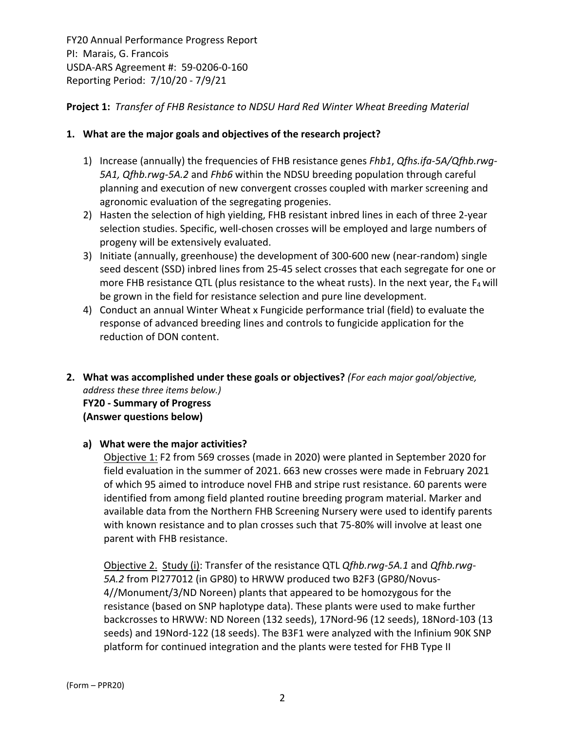## **Project 1:** *Transfer of FHB Resistance to NDSU Hard Red Winter Wheat Breeding Material*

## **1. What are the major goals and objectives of the research project?**

- 1) Increase (annually) the frequencies of FHB resistance genes *Fhb1*, *Qfhs.ifa‐5A/Qfhb.rwg‐ 5A1, Qfhb.rwg‐5A.2* and *Fhb6* within the NDSU breeding population through careful planning and execution of new convergent crosses coupled with marker screening and agronomic evaluation of the segregating progenies.
- 2) Hasten the selection of high yielding, FHB resistant inbred lines in each of three 2-year selection studies. Specific, well‐chosen crosses will be employed and large numbers of progeny will be extensively evaluated.
- 3) Initiate (annually, greenhouse) the development of 300‐600 new (near‐random) single seed descent (SSD) inbred lines from 25‐45 select crosses that each segregate for one or more FHB resistance QTL (plus resistance to the wheat rusts). In the next year, the  $F_4$  will be grown in the field for resistance selection and pure line development.
- 4) Conduct an annual Winter Wheat x Fungicide performance trial (field) to evaluate the response of advanced breeding lines and controls to fungicide application for the reduction of DON content.
- **2. What was accomplished under these goals or objectives?** *(For each major goal/objective, address these three items below.)* **FY20 ‐ Summary of Progress (Answer questions below)**

## **a) What were the major activities?**

Objective 1: F2 from 569 crosses (made in 2020) were planted in September 2020 for field evaluation in the summer of 2021. 663 new crosses were made in February 2021 of which 95 aimed to introduce novel FHB and stripe rust resistance. 60 parents were identified from among field planted routine breeding program material. Marker and available data from the Northern FHB Screening Nursery were used to identify parents with known resistance and to plan crosses such that 75‐80% will involve at least one parent with FHB resistance.

Objective 2. Study (i): Transfer of the resistance QTL *Qfhb.rwg‐5A.1* and *Qfhb.rwg‐ 5A.2* from PI277012 (in GP80) to HRWW produced two B2F3 (GP80/Novus‐ 4//Monument/3/ND Noreen) plants that appeared to be homozygous for the resistance (based on SNP haplotype data). These plants were used to make further backcrosses to HRWW: ND Noreen (132 seeds), 17Nord‐96 (12 seeds), 18Nord‐103 (13 seeds) and 19Nord-122 (18 seeds). The B3F1 were analyzed with the Infinium 90K SNP platform for continued integration and the plants were tested for FHB Type II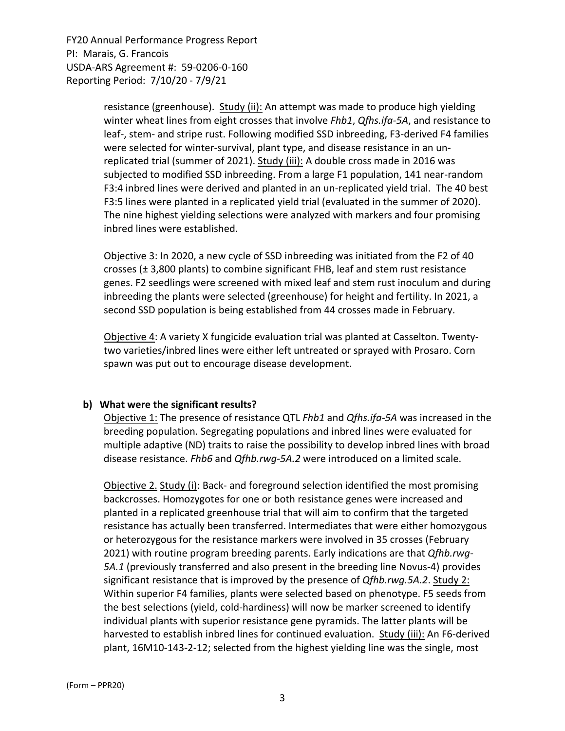> resistance (greenhouse). Study (ii): An attempt was made to produce high yielding winter wheat lines from eight crosses that involve *Fhb1*, *Qfhs.ifa‐5A*, and resistance to leaf‐, stem‐ and stripe rust. Following modified SSD inbreeding, F3‐derived F4 families were selected for winter‐survival, plant type, and disease resistance in an un‐ replicated trial (summer of 2021). Study (iii): A double cross made in 2016 was subjected to modified SSD inbreeding. From a large F1 population, 141 near-random F3:4 inbred lines were derived and planted in an un-replicated yield trial. The 40 best F3:5 lines were planted in a replicated yield trial (evaluated in the summer of 2020). The nine highest yielding selections were analyzed with markers and four promising inbred lines were established.

> Objective 3: In 2020, a new cycle of SSD inbreeding was initiated from the F2 of 40 crosses (± 3,800 plants) to combine significant FHB, leaf and stem rust resistance genes. F2 seedlings were screened with mixed leaf and stem rust inoculum and during inbreeding the plants were selected (greenhouse) for height and fertility. In 2021, a second SSD population is being established from 44 crosses made in February.

Objective 4: A variety X fungicide evaluation trial was planted at Casselton. Twenty‐ two varieties/inbred lines were either left untreated or sprayed with Prosaro. Corn spawn was put out to encourage disease development.

#### **b) What were the significant results?**

Objective 1: The presence of resistance QTL *Fhb1* and *Qfhs.ifa‐5A* was increased in the breeding population. Segregating populations and inbred lines were evaluated for multiple adaptive (ND) traits to raise the possibility to develop inbred lines with broad disease resistance. *Fhb6* and *Qfhb.rwg‐5A.2* were introduced on a limited scale.

Objective 2. Study (i): Back- and foreground selection identified the most promising backcrosses. Homozygotes for one or both resistance genes were increased and planted in a replicated greenhouse trial that will aim to confirm that the targeted resistance has actually been transferred. Intermediates that were either homozygous or heterozygous for the resistance markers were involved in 35 crosses (February 2021) with routine program breeding parents. Early indications are that *Qfhb.rwg‐ 5A.1* (previously transferred and also present in the breeding line Novus‐4) provides significant resistance that is improved by the presence of *Qfhb.rwg.5A.2*. Study 2: Within superior F4 families, plants were selected based on phenotype. F5 seeds from the best selections (yield, cold‐hardiness) will now be marker screened to identify individual plants with superior resistance gene pyramids. The latter plants will be harvested to establish inbred lines for continued evaluation. Study (iii): An F6‐derived plant, 16M10‐143‐2‐12; selected from the highest yielding line was the single, most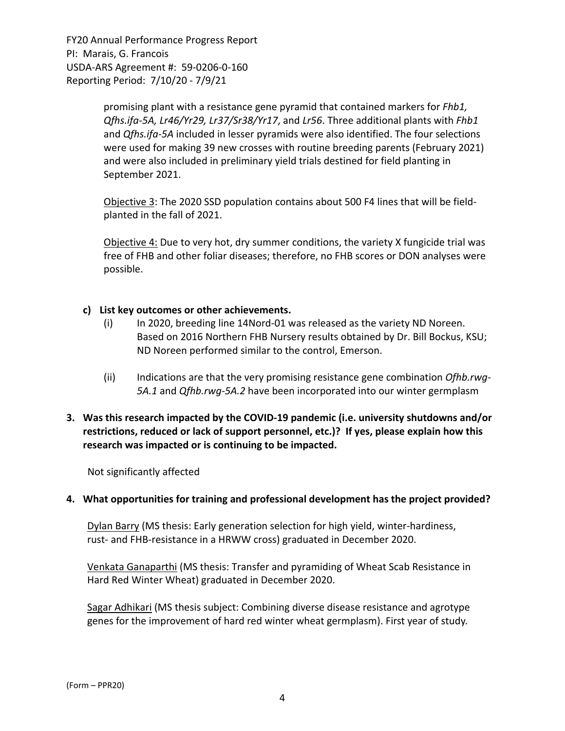> promising plant with a resistance gene pyramid that contained markers for *Fhb1, Qfhs.ifa‐5A, Lr46/Yr29, Lr37/Sr38/Yr17*, and *Lr56*. Three additional plants with *Fhb1* and *Qfhs.ifa‐5A* included in lesser pyramids were also identified. The four selections were used for making 39 new crosses with routine breeding parents (February 2021) and were also included in preliminary yield trials destined for field planting in September 2021.

Objective 3: The 2020 SSD population contains about 500 F4 lines that will be field‐ planted in the fall of 2021.

Objective 4: Due to very hot, dry summer conditions, the variety X fungicide trial was free of FHB and other foliar diseases; therefore, no FHB scores or DON analyses were possible.

### **c) List key outcomes or other achievements.**

- (i) In 2020, breeding line 14Nord‐01 was released as the variety ND Noreen. Based on 2016 Northern FHB Nursery results obtained by Dr. Bill Bockus, KSU; ND Noreen performed similar to the control, Emerson.
- (ii) Indications are that the very promising resistance gene combination *Ofhb.rwg‐ 5A.1* and *Qfhb.rwg‐5A.2* have been incorporated into our winter germplasm

## **3. Was this research impacted by the COVID‐19 pandemic (i.e. university shutdowns and/or restrictions, reduced or lack of support personnel, etc.)? If yes, please explain how this research was impacted or is continuing to be impacted.**

Not significantly affected

#### **4. What opportunities for training and professional development has the project provided?**

Dylan Barry (MS thesis: Early generation selection for high yield, winter‐hardiness, rust- and FHB-resistance in a HRWW cross) graduated in December 2020.

Venkata Ganaparthi (MS thesis: Transfer and pyramiding of Wheat Scab Resistance in Hard Red Winter Wheat) graduated in December 2020.

Sagar Adhikari (MS thesis subject: Combining diverse disease resistance and agrotype genes for the improvement of hard red winter wheat germplasm). First year of study.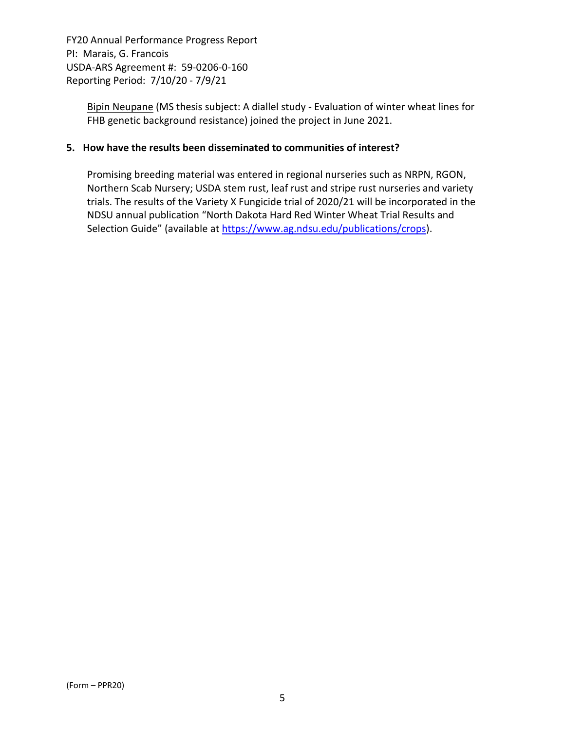> Bipin Neupane (MS thesis subject: A diallel study ‐ Evaluation of winter wheat lines for FHB genetic background resistance) joined the project in June 2021.

### **5. How have the results been disseminated to communities of interest?**

Promising breeding material was entered in regional nurseries such as NRPN, RGON, Northern Scab Nursery; USDA stem rust, leaf rust and stripe rust nurseries and variety trials. The results of the Variety X Fungicide trial of 2020/21 will be incorporated in the NDSU annual publication "North Dakota Hard Red Winter Wheat Trial Results and Selection Guide" (available at https://www.ag.ndsu.edu/publications/crops).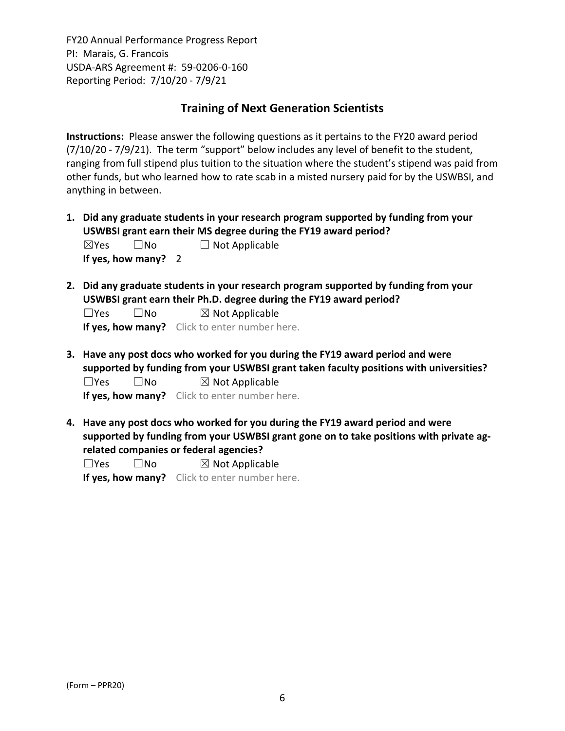## **Training of Next Generation Scientists**

**Instructions:** Please answer the following questions as it pertains to the FY20 award period (7/10/20 ‐ 7/9/21). The term "support" below includes any level of benefit to the student, ranging from full stipend plus tuition to the situation where the student's stipend was paid from other funds, but who learned how to rate scab in a misted nursery paid for by the USWBSI, and anything in between.

- **1. Did any graduate students in your research program supported by funding from your USWBSI grant earn their MS degree during the FY19 award period?**  $\boxtimes$ Yes  $\Box$  No  $\Box$  Not Applicable **If yes, how many?** 2
- **2. Did any graduate students in your research program supported by funding from your USWBSI grant earn their Ph.D. degree during the FY19 award period?**

 $\square$ Yes  $\square$ No  $\square$  Not Applicable **If yes, how many?** Click to enter number here.

- **3. Have any post docs who worked for you during the FY19 award period and were supported by funding from your USWBSI grant taken faculty positions with universities?**  $\square$ Yes  $\square$ No  $\square$  Not Applicable **If yes, how many?** Click to enter number here.
- **4. Have any post docs who worked for you during the FY19 award period and were supported by funding from your USWBSI grant gone on to take positions with private ag‐**

**related companies or federal agencies?**

 $\square$ Yes  $\square$ No  $\square$  Not Applicable

**If yes, how many?** Click to enter number here.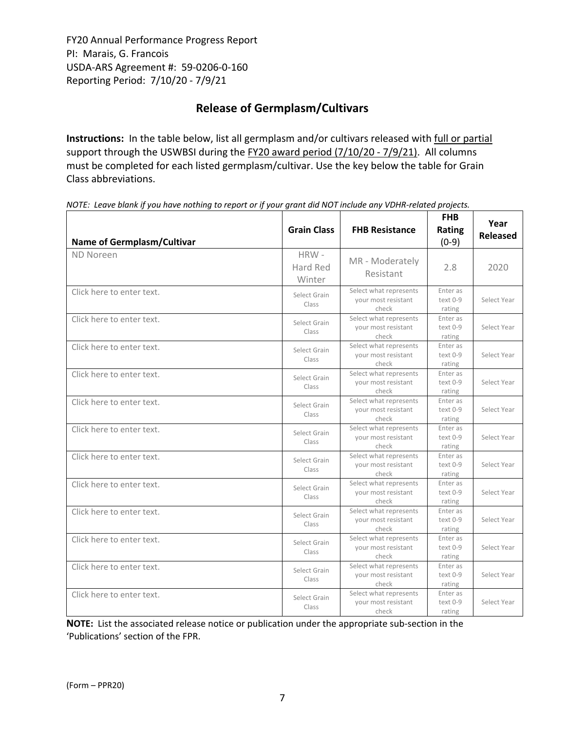# **Release of Germplasm/Cultivars**

**Instructions:** In the table below, list all germplasm and/or cultivars released with full or partial support through the USWBSI during the FY20 award period (7/10/20 - 7/9/21). All columns must be completed for each listed germplasm/cultivar. Use the key below the table for Grain Class abbreviations. 

| <b>Name of Germplasm/Cultivar</b> | <b>Grain Class</b>         | <b>FHB Resistance</b>                                  | <b>FHB</b><br>Rating<br>$(0-9)$  | Year<br><b>Released</b> |
|-----------------------------------|----------------------------|--------------------------------------------------------|----------------------------------|-------------------------|
| ND Noreen                         | HRW-<br>Hard Red<br>Winter | MR - Moderately<br>Resistant                           | 2.8                              | 2020                    |
| Click here to enter text.         | Select Grain<br>Class      | Select what represents<br>your most resistant<br>check | Enter as<br>text 0-9<br>rating   | Select Year             |
| Click here to enter text.         | Select Grain<br>Class      | Select what represents<br>your most resistant<br>check | Enter as<br>text 0-9<br>rating   | Select Year             |
| Click here to enter text.         | Select Grain<br>Class      | Select what represents<br>your most resistant<br>check | Enter as<br>$text 0-9$<br>rating | Select Year             |
| Click here to enter text.         | Select Grain<br>Class      | Select what represents<br>your most resistant<br>check | Enter as<br>text 0-9<br>rating   | Select Year             |
| Click here to enter text.         | Select Grain<br>Class      | Select what represents<br>your most resistant<br>check | Enter as<br>text 0-9<br>rating   | Select Year             |
| Click here to enter text.         | Select Grain<br>Class      | Select what represents<br>your most resistant<br>check | Enter as<br>$text 0-9$<br>rating | Select Year             |
| Click here to enter text.         | Select Grain<br>Class      | Select what represents<br>your most resistant<br>check | Enter as<br>text 0-9<br>rating   | Select Year             |
| Click here to enter text.         | Select Grain<br>Class      | Select what represents<br>your most resistant<br>check | Enter as<br>text 0-9<br>rating   | Select Year             |
| Click here to enter text.         | Select Grain<br>Class      | Select what represents<br>your most resistant<br>check | Enter as<br>text 0-9<br>rating   | Select Year             |
| Click here to enter text.         | Select Grain<br>Class      | Select what represents<br>your most resistant<br>check | Enter as<br>text 0-9<br>rating   | Select Year             |
| Click here to enter text.         | Select Grain<br>Class      | Select what represents<br>your most resistant<br>check | Enter as<br>text 0-9<br>rating   | Select Year             |
| Click here to enter text.         | Select Grain<br>Class      | Select what represents<br>your most resistant<br>check | Enter as<br>text 0-9<br>rating   | Select Year             |

NOTE: Leave blank if you have nothing to report or if your grant did NOT include any VDHR-related projects.

**NOTE:** List the associated release notice or publication under the appropriate sub-section in the 'Publications' section of the FPR.